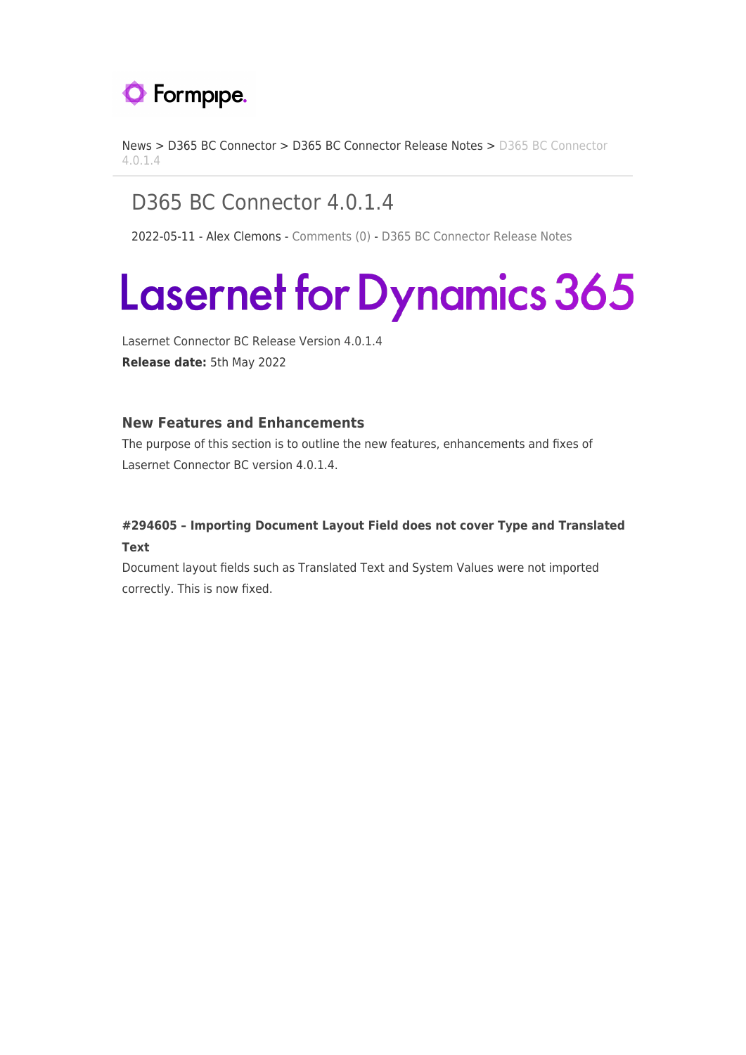

[News](https://support.formpipe.com/news) > [D365 BC Connector](https://support.formpipe.com/news/d365-bc-connector) > [D365 BC Connector Release Notes](https://support.formpipe.com/news/d365-bc-connector-release-notes) > [D365 BC Connector](https://support.formpipe.com/news/posts/d365-bc-connector-4-0-1-4) [4.0.1.4](https://support.formpipe.com/news/posts/d365-bc-connector-4-0-1-4)

# D365 BC Connector 4.0.1.4

2022-05-11 - Alex Clemons - [Comments \(0\)](#page--1-0) - [D365 BC Connector Release Notes](https://support.formpipe.com/news/d365-bc-connector-release-notes)

# Lasernet for Dynamics 365

Lasernet Connector BC Release Version 4.0.1.4 **Release date:** 5th May 2022

### **New Features and Enhancements**

The purpose of this section is to outline the new features, enhancements and fixes of Lasernet Connector BC version 4.0.1.4.

# **#294605 – Importing Document Layout Field does not cover Type and Translated Text**

Document layout fields such as Translated Text and System Values were not imported correctly. This is now fixed.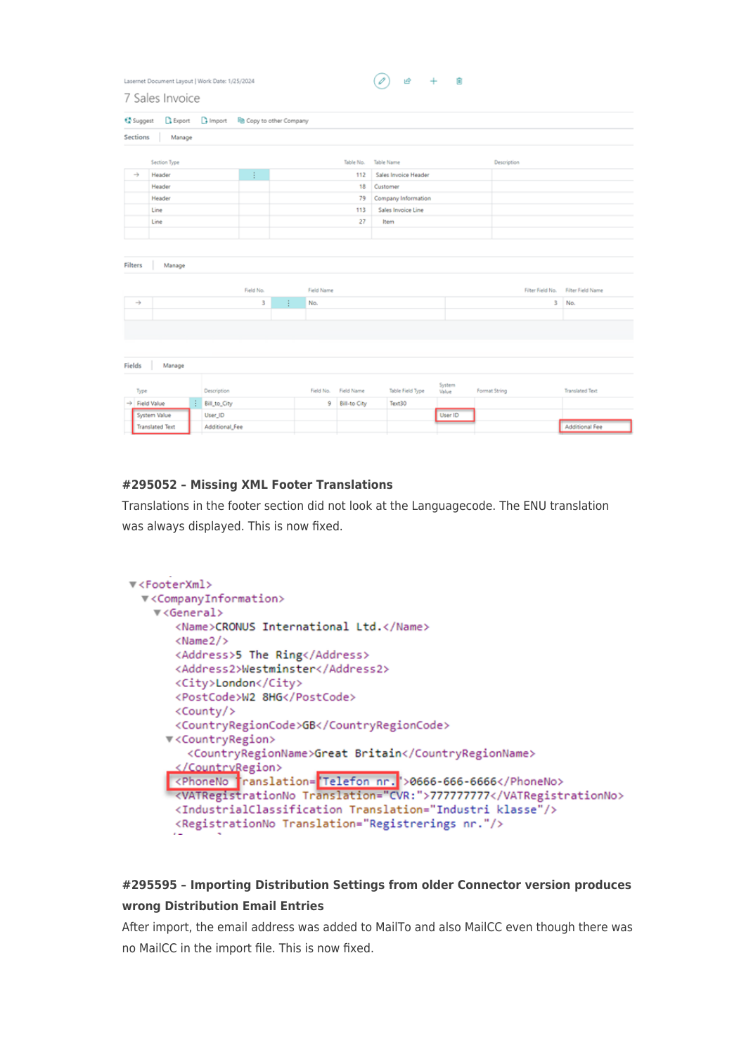| Lasernet Document Layout   Work Date: 1/25/2024 | $\begin{pmatrix} \varphi \end{pmatrix}$ is $\theta$ + iii |  |  |
|-------------------------------------------------|-----------------------------------------------------------|--|--|
| 7 Sales Invoice                                 |                                                           |  |  |

| Sections<br>Manage<br>Section Type<br>Table No.<br><b>Table Name</b><br><b>Description</b><br>÷<br>$\rightarrow$<br>Header<br>Sales Invoice Header<br>112<br>Header<br>18<br>Customer |                                              |
|---------------------------------------------------------------------------------------------------------------------------------------------------------------------------------------|----------------------------------------------|
|                                                                                                                                                                                       |                                              |
|                                                                                                                                                                                       |                                              |
|                                                                                                                                                                                       |                                              |
|                                                                                                                                                                                       |                                              |
|                                                                                                                                                                                       |                                              |
| Header<br>Company Information<br>79                                                                                                                                                   |                                              |
| Line<br>113<br>Sales Invoice Line                                                                                                                                                     |                                              |
| Line<br>27<br>Item                                                                                                                                                                    |                                              |
|                                                                                                                                                                                       |                                              |
|                                                                                                                                                                                       |                                              |
| Filters<br>Manage                                                                                                                                                                     |                                              |
| Field No.<br>Field Name                                                                                                                                                               | Filter Field No.<br><b>Filter Field Name</b> |
| 3<br>$\rightarrow$<br>÷<br>No.                                                                                                                                                        | No.<br>3                                     |
|                                                                                                                                                                                       |                                              |
|                                                                                                                                                                                       |                                              |
|                                                                                                                                                                                       |                                              |
|                                                                                                                                                                                       |                                              |
| Fields<br>Manage                                                                                                                                                                      |                                              |
| System<br>Table Field Type<br>Description<br>Field Name<br>Format String<br>Type<br>Field No.<br>Value                                                                                | <b>Translated Text</b>                       |
| ÷<br>$\rightarrow$ Field Value<br>Bill_to_City<br>9<br><b>Bill-to City</b><br>Text30                                                                                                  |                                              |
| System Value<br>User_ID<br>User ID                                                                                                                                                    |                                              |
| Additional_Fee<br><b>Translated Text</b>                                                                                                                                              | <b>Additional Fee</b>                        |

#### **#295052 – Missing XML Footer Translations**

Translations in the footer section did not look at the Languagecode. The ENU translation was always displayed. This is now fixed.

```
▼<FooterXml>
▼<CompanyInformation>
  ▼<General>
     <Name>CRONUS International Ltd.</Name>
     <Name2/<Address>5 The Ring</Address>
     <Address2>Westminster</Address2>
     <City>London</City>
     <PostCode>W2 8HG</PostCode>
     <County/>
     <CountryRegionCode>GB</CountryRegionCode>
    v<CountryRegion>
       <CountryRegionName>Great Britain</CountryRegionName>
      </CountryRegion>
    xphoneNo translation="Telefon nr.">0666-666-6666</PhoneNo><br>xVATRegistrationNo Translation="CVR:">777777777</VATRegistrationNo>
     <IndustrialClassification Translation="Industri klasse"/>
     <RegistrationNo Translation="Registrerings nr."/>
```
## **#295595 – Importing Distribution Settings from older Connector version produces wrong Distribution Email Entries**

After import, the email address was added to MailTo and also MailCC even though there was no MailCC in the import file. This is now fixed.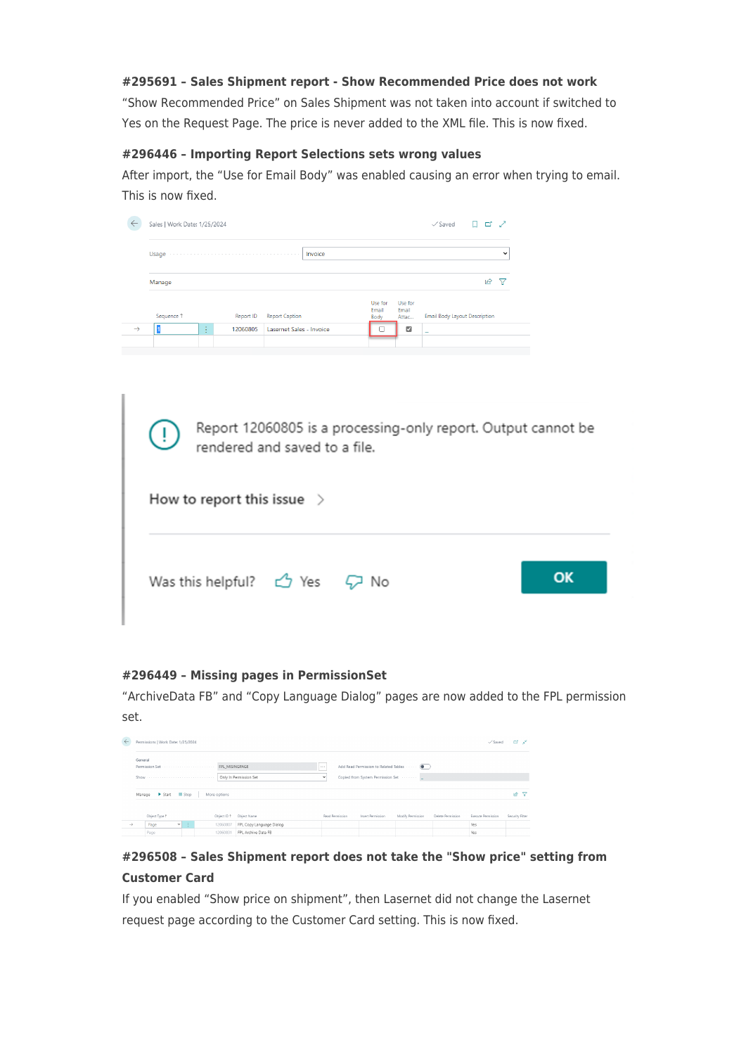#### **#295691 – Sales Shipment report - Show Recommended Price does not work**

"Show Recommended Price" on Sales Shipment was not taken into account if switched to Yes on the Request Page. The price is never added to the XML file. This is now fixed.

#### **#296446 – Importing Report Selections sets wrong values**

After import, the "Use for Email Body" was enabled causing an error when trying to email. This is now fixed.

| Sales   Work Date: 1/25/2024 |                    |                                                                                                                                                                                                                                |                          |         |                          |                           | $\checkmark$ Saved                   | ゴ<br>↗              |
|------------------------------|--------------------|--------------------------------------------------------------------------------------------------------------------------------------------------------------------------------------------------------------------------------|--------------------------|---------|--------------------------|---------------------------|--------------------------------------|---------------------|
|                              |                    | Usage (processes) constructed and construction of the set of the set of the set of the set of the set of the set of the set of the set of the set of the set of the set of the set of the set of the set of the set of the set |                          | Invoice |                          |                           |                                      | $\checkmark$        |
| Manage                       |                    |                                                                                                                                                                                                                                |                          |         |                          |                           |                                      | $\overline{P}$<br>▽ |
| Sequence 1                   |                    | Report ID                                                                                                                                                                                                                      | <b>Report Caption</b>    |         | Use for<br>Email<br>Body | Use for<br>Email<br>Attac | <b>Email Body Layout Description</b> |                     |
|                              | $\mathbf{r}$<br>х. | 12060805                                                                                                                                                                                                                       | Lasernet Sales - Invoice |         |                          | M                         | -                                    |                     |

| Report 12060805 is a processing-only report. Output cannot be<br>U.<br>rendered and saved to a file. |    |
|------------------------------------------------------------------------------------------------------|----|
| How to report this issue $\rightarrow$                                                               |    |
| Was this helpful? $\bigcirc$ Yes $\bigcirc$ No                                                       | OK |

#### **#296449 – Missing pages in PermissionSet**

"ArchiveData FB" and "Copy Language Dialog" pages are now added to the FPL permission set.

| $\leftarrow$  |                 | Permissions   Work Date: 1/25/2024 |                           |                      |                                                 |                                  |                 |                                                                               |                   |                   | $\sqrt{\sqrt{2}}$ Saved | ದ ಕ್            |
|---------------|-----------------|------------------------------------|---------------------------|----------------------|-------------------------------------------------|----------------------------------|-----------------|-------------------------------------------------------------------------------|-------------------|-------------------|-------------------------|-----------------|
|               | General<br>Show |                                    |                           |                      | FPL MISINGPAGE<br>Only In Permission Set        | $\sim$ 1.0 $\pm$<br>$\checkmark$ |                 | Add Read Permission to Related Tables  (<br>Copied from System Permission Set |                   |                   |                         |                 |
|               |                 | Manage > Start Bistop              |                           | More options         |                                                 |                                  |                 |                                                                               |                   |                   |                         | 岭<br>▽          |
|               |                 | Object Type 1                      |                           | Object ID 1          | Object Name                                     |                                  | Read Permission | Insert Permission                                                             | Modify Permission | Delete Permission | Execute Permission      | Security Filter |
| $\rightarrow$ |                 | Page<br>Page                       | $\mathbf{v} = \mathbf{v}$ | 12060807<br>12060831 | FPL Copy Language Dialog<br>FPL Archive Data FB |                                  |                 |                                                                               |                   |                   | Yes<br>Yes              |                 |

# **#296508 – Sales Shipment report does not take the "Show price" setting from Customer Card**

If you enabled "Show price on shipment", then Lasernet did not change the Lasernet request page according to the Customer Card setting. This is now fixed.